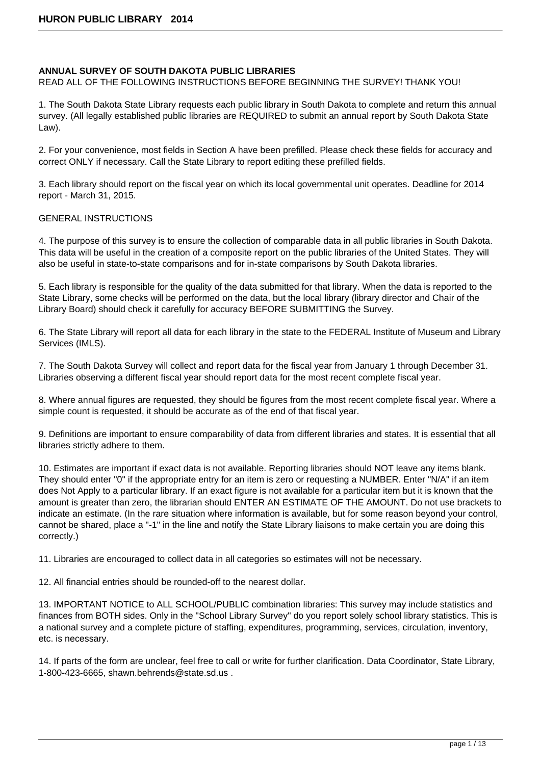### **ANNUAL SURVEY OF SOUTH DAKOTA PUBLIC LIBRARIES**

READ ALL OF THE FOLLOWING INSTRUCTIONS BEFORE BEGINNING THE SURVEY! THANK YOU!

1. The South Dakota State Library requests each public library in South Dakota to complete and return this annual survey. (All legally established public libraries are REQUIRED to submit an annual report by South Dakota State Law).

2. For your convenience, most fields in Section A have been prefilled. Please check these fields for accuracy and correct ONLY if necessary. Call the State Library to report editing these prefilled fields.

3. Each library should report on the fiscal year on which its local governmental unit operates. Deadline for 2014 report - March 31, 2015.

## GENERAL INSTRUCTIONS

4. The purpose of this survey is to ensure the collection of comparable data in all public libraries in South Dakota. This data will be useful in the creation of a composite report on the public libraries of the United States. They will also be useful in state-to-state comparisons and for in-state comparisons by South Dakota libraries.

5. Each library is responsible for the quality of the data submitted for that library. When the data is reported to the State Library, some checks will be performed on the data, but the local library (library director and Chair of the Library Board) should check it carefully for accuracy BEFORE SUBMITTING the Survey.

6. The State Library will report all data for each library in the state to the FEDERAL Institute of Museum and Library Services (IMLS).

7. The South Dakota Survey will collect and report data for the fiscal year from January 1 through December 31. Libraries observing a different fiscal year should report data for the most recent complete fiscal year.

8. Where annual figures are requested, they should be figures from the most recent complete fiscal year. Where a simple count is requested, it should be accurate as of the end of that fiscal year.

9. Definitions are important to ensure comparability of data from different libraries and states. It is essential that all libraries strictly adhere to them.

10. Estimates are important if exact data is not available. Reporting libraries should NOT leave any items blank. They should enter "0" if the appropriate entry for an item is zero or requesting a NUMBER. Enter "N/A" if an item does Not Apply to a particular library. If an exact figure is not available for a particular item but it is known that the amount is greater than zero, the librarian should ENTER AN ESTIMATE OF THE AMOUNT. Do not use brackets to indicate an estimate. (In the rare situation where information is available, but for some reason beyond your control, cannot be shared, place a "-1" in the line and notify the State Library liaisons to make certain you are doing this correctly.)

11. Libraries are encouraged to collect data in all categories so estimates will not be necessary.

12. All financial entries should be rounded-off to the nearest dollar.

13. IMPORTANT NOTICE to ALL SCHOOL/PUBLIC combination libraries: This survey may include statistics and finances from BOTH sides. Only in the "School Library Survey" do you report solely school library statistics. This is a national survey and a complete picture of staffing, expenditures, programming, services, circulation, inventory, etc. is necessary.

14. If parts of the form are unclear, feel free to call or write for further clarification. Data Coordinator, State Library, 1-800-423-6665, shawn.behrends@state.sd.us .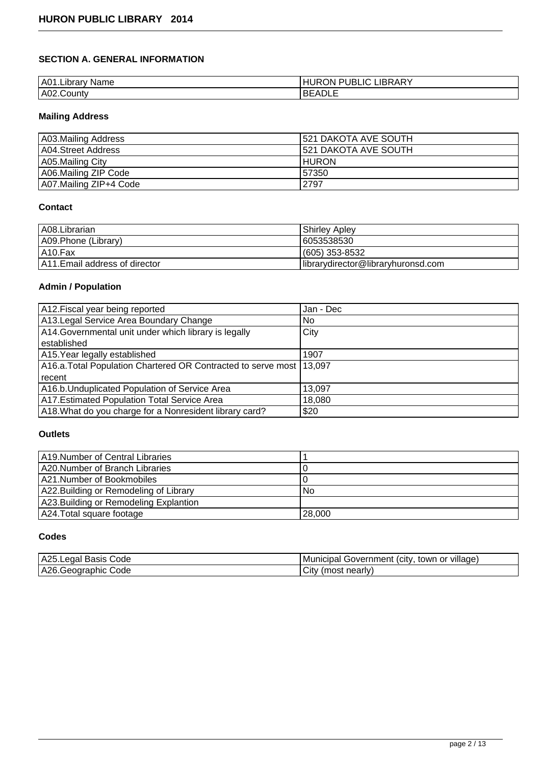# **SECTION A. GENERAL INFORMATION**

| . .<br>A0 <sup>1</sup><br><b>Name</b><br>…∟ibrarv " | LIBRARY<br>DI<br><b>JBLIC</b><br>)N<br>۱ю<br>- |
|-----------------------------------------------------|------------------------------------------------|
| A02.County                                          | $\sim$<br>, ספי<br><u>n</u><br>-<br>ハレレレ       |

# **Mailing Address**

| A03.Mailing Address    | 1521 DAKOTA AVE SOUTH |
|------------------------|-----------------------|
| A04.Street Address     | 1521 DAKOTA AVE SOUTH |
| A05.Mailing City       | <b>IHURON</b>         |
| A06.Mailing ZIP Code   | 157350                |
| A07.Mailing ZIP+4 Code | 2797                  |

## **Contact**

| A08.Librarian                  | <b>Shirley Apley</b>               |
|--------------------------------|------------------------------------|
| A09. Phone (Library)           | 16053538530                        |
| A10.Fax                        | l (605) 353-8532                   |
| A11. Email address of director | librarydirector@libraryhuronsd.com |

# **Admin / Population**

| A12. Fiscal year being reported                                      | Jan - Dec |
|----------------------------------------------------------------------|-----------|
| A13. Legal Service Area Boundary Change                              | No.       |
| A14. Governmental unit under which library is legally                | City      |
| lestablished                                                         |           |
| A15. Year legally established                                        | 1907      |
| A16.a. Total Population Chartered OR Contracted to serve most 13,097 |           |
| l recent                                                             |           |
| A16.b. Unduplicated Population of Service Area                       | 13.097    |
| A17. Estimated Population Total Service Area                         | 18,080    |
| A18. What do you charge for a Nonresident library card?              | \$20      |

# **Outlets**

| A19.Number of Central Libraries        |        |
|----------------------------------------|--------|
| A20.Number of Branch Libraries         |        |
| A21.Number of Bookmobiles              |        |
| A22. Building or Remodeling of Library | No.    |
| A23. Building or Remodeling Explantion |        |
| A24. Total square footage              | 28,000 |

## **Codes**

| A25.Lega.<br>Code<br>Basis | <br>or village<br>town<br>.CITV<br>' Municipal<br>Government |
|----------------------------|--------------------------------------------------------------|
| A26.Geographic<br>Code     | . nearlv'<br>City<br>ˈmost                                   |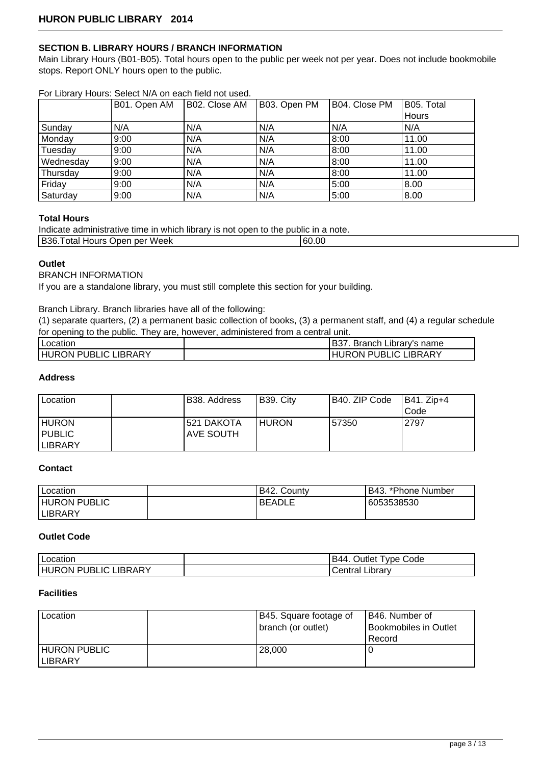## **SECTION B. LIBRARY HOURS / BRANCH INFORMATION**

Main Library Hours (B01-B05). Total hours open to the public per week not per year. Does not include bookmobile stops. Report ONLY hours open to the public.

|           | FOI LIDIATY HOUTS. SEIECLIV/A ON EACH HEIG NOL USEG. |               |              |               |            |
|-----------|------------------------------------------------------|---------------|--------------|---------------|------------|
|           | B01. Open AM                                         | B02. Close AM | B03. Open PM | B04. Close PM | B05. Total |
|           |                                                      |               |              |               | Hours      |
| Sunday    | N/A                                                  | N/A           | N/A          | N/A           | N/A        |
| Monday    | 9:00                                                 | N/A           | N/A          | 8:00          | 11.00      |
| Tuesday   | 9:00                                                 | N/A           | N/A          | 8:00          | 11.00      |
| Wednesday | 9:00                                                 | N/A           | N/A          | 8:00          | 11.00      |
| Thursday  | 9:00                                                 | N/A           | N/A          | 8:00          | 11.00      |
| Friday    | 9:00                                                 | N/A           | N/A          | 5:00          | 8.00       |
| Saturday  | 9:00                                                 | N/A           | N/A          | 5:00          | 8.00       |

# For Library Hours: Select N/A on each field not used.

#### **Total Hours**

| Indicate administrative time in which library is not open to the public in a note. |       |
|------------------------------------------------------------------------------------|-------|
| B36. Total Hours Open per Week                                                     | 60.00 |

#### **Outlet**

BRANCH INFORMATION

If you are a standalone library, you must still complete this section for your building.

#### Branch Library. Branch libraries have all of the following:

(1) separate quarters, (2) a permanent basic collection of books, (3) a permanent staff, and (4) a regular schedule for opening to the public. They are, however, administered from a central unit.

| Location                                 | B37 ו<br>Branch Library's name  |
|------------------------------------------|---------------------------------|
| <b>LIBRARY</b><br><b>IHURON PUBLIC L</b> | LIBRARY<br>ON PUBLIC L<br>' IRC |

#### **Address**

| Location     | IB38. Address | B39. City     | B40. ZIP Code | <b>IB41. Zip+4</b> |
|--------------|---------------|---------------|---------------|--------------------|
|              |               |               |               | Code               |
| <b>HURON</b> | 521 DAKOTA    | <b>IHURON</b> | 57350         | 2797               |
| PUBLIC       | IAVE SOUTH    |               |               |                    |
| LIBRARY      |               |               |               |                    |

#### **Contact**

| <b>I</b> Location   | B42. County   | *Phone Number<br>B43. |
|---------------------|---------------|-----------------------|
| <b>HURON PUBLIC</b> | <b>BEADLE</b> | 6053538530            |
| <b>ILIBRARY</b>     |               |                       |

### **Outlet Code**

| Location                                    | Code<br>--<br>vne (<br>Jutlet<br>B44 |
|---------------------------------------------|--------------------------------------|
| .IBRARY<br>ี เด<br>וש<br>)N<br>IRI<br>، جرا | .ıbrarv<br>∪e⊓udi                    |

## **Facilities**

| Location                               | B45. Square footage of<br>(branch (or outlet) | B46. Number of<br>Bookmobiles in Outlet<br>Record |
|----------------------------------------|-----------------------------------------------|---------------------------------------------------|
| <b>HURON PUBLIC</b><br><b>ILIBRARY</b> | 28,000                                        |                                                   |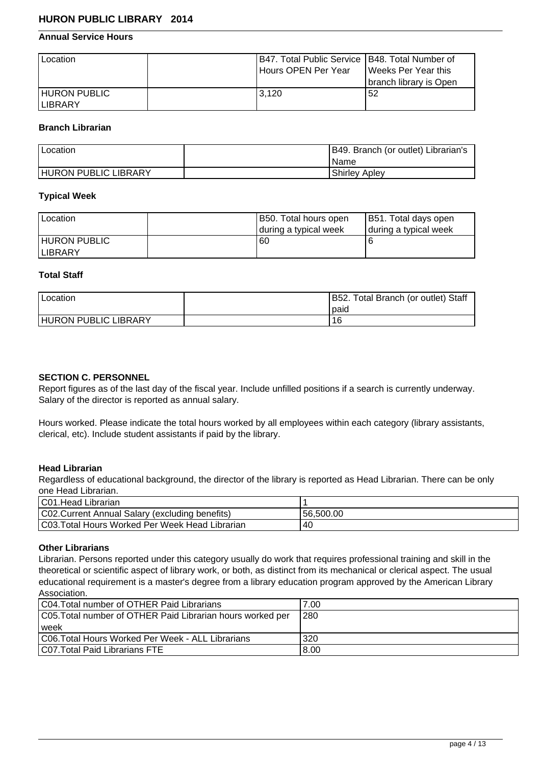## **Annual Service Hours**

| 'Location                       | IB47. Total Public Service 1B48. Total Number of<br>l Hours OPEN Per Year | l Weeks Per Year this<br>Ibranch librarv is Open |
|---------------------------------|---------------------------------------------------------------------------|--------------------------------------------------|
| <b>HURON PUBLIC</b><br>ILIBRARY | 3.120                                                                     | 52                                               |

#### **Branch Librarian**

| Location                    | B49. Branch (or outlet) Librarian's |
|-----------------------------|-------------------------------------|
|                             | l Name                              |
| <b>HURON PUBLIC LIBRARY</b> | Shirley Apley                       |

#### **Typical Week**

| Location             | B50. Total hours open   | B51. Total days open  |
|----------------------|-------------------------|-----------------------|
|                      | I during a typical week | during a typical week |
| <b>IHURON PUBLIC</b> | 60                      |                       |
| <b>ILIBRARY</b>      |                         |                       |

## **Total Staff**

| Location                    | B52. Total Branch (or outlet) Staff<br>l paid |
|-----------------------------|-----------------------------------------------|
| <b>HURON PUBLIC LIBRARY</b> | 16                                            |

#### **SECTION C. PERSONNEL**

Report figures as of the last day of the fiscal year. Include unfilled positions if a search is currently underway. Salary of the director is reported as annual salary.

Hours worked. Please indicate the total hours worked by all employees within each category (library assistants, clerical, etc). Include student assistants if paid by the library.

#### **Head Librarian**

Regardless of educational background, the director of the library is reported as Head Librarian. There can be only one Head Librarian.

| C01. Head Librarian                             |           |
|-------------------------------------------------|-----------|
| C02. Current Annual Salary (excluding benefits) | 56.500.00 |
| C03. Total Hours Worked Per Week Head Librarian | -40       |

#### **Other Librarians**

Librarian. Persons reported under this category usually do work that requires professional training and skill in the theoretical or scientific aspect of library work, or both, as distinct from its mechanical or clerical aspect. The usual educational requirement is a master's degree from a library education program approved by the American Library Association.

| C04. Total number of OTHER Paid Librarians                 | 7.00 |
|------------------------------------------------------------|------|
| C05. Total number of OTHER Paid Librarian hours worked per | 280  |
| l week                                                     |      |
| C06. Total Hours Worked Per Week - ALL Librarians          | 320  |
| <b>CO7. Total Paid Librarians FTE</b>                      | 8.00 |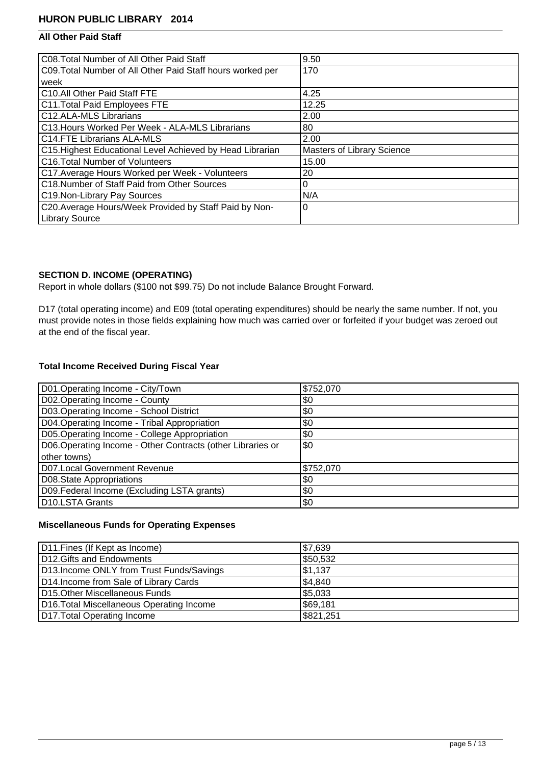# **All Other Paid Staff**

| C08. Total Number of All Other Paid Staff                  | 9.50                              |
|------------------------------------------------------------|-----------------------------------|
| C09. Total Number of All Other Paid Staff hours worked per | 170                               |
| week                                                       |                                   |
| C10.All Other Paid Staff FTE                               | 4.25                              |
| C11. Total Paid Employees FTE                              | 12.25                             |
| C12.ALA-MLS Librarians                                     | 2.00                              |
| C13. Hours Worked Per Week - ALA-MLS Librarians            | 80                                |
| <b>C14.FTE Librarians ALA-MLS</b>                          | 2.00                              |
| C15. Highest Educational Level Achieved by Head Librarian  | <b>Masters of Library Science</b> |
| C16. Total Number of Volunteers                            | 15.00                             |
| C17. Average Hours Worked per Week - Volunteers            | 20                                |
| C18.Number of Staff Paid from Other Sources                | 0                                 |
| C19.Non-Library Pay Sources                                | N/A                               |
| C20. Average Hours/Week Provided by Staff Paid by Non-     | 0                                 |
| Library Source                                             |                                   |

# **SECTION D. INCOME (OPERATING)**

Report in whole dollars (\$100 not \$99.75) Do not include Balance Brought Forward.

D17 (total operating income) and E09 (total operating expenditures) should be nearly the same number. If not, you must provide notes in those fields explaining how much was carried over or forfeited if your budget was zeroed out at the end of the fiscal year.

# **Total Income Received During Fiscal Year**

| D01.Operating Income - City/Town                           | \$752,070 |
|------------------------------------------------------------|-----------|
| D02.Operating Income - County                              | \$0       |
| D03.Operating Income - School District                     | \$0       |
| D04. Operating Income - Tribal Appropriation               | \$0       |
| D05. Operating Income - College Appropriation              | \$0       |
| D06.Operating Income - Other Contracts (other Libraries or | \$0       |
| other towns)                                               |           |
| <b>D07.Local Government Revenue</b>                        | \$752,070 |
| D08.State Appropriations                                   | \$0       |
| D09. Federal Income (Excluding LSTA grants)                | \$0       |
| D <sub>10</sub> .LSTA Grants                               | \$0       |

## **Miscellaneous Funds for Operating Expenses**

| D11. Fines (If Kept as Income)            | \$7,639   |
|-------------------------------------------|-----------|
| D12. Gifts and Endowments                 | \$50,532  |
| D13. Income ONLY from Trust Funds/Savings | \$1,137   |
| D14. Income from Sale of Library Cards    | \$4,840   |
| D15. Other Miscellaneous Funds            | \$5,033   |
| D16. Total Miscellaneous Operating Income | \$69,181  |
| D17. Total Operating Income               | \$821,251 |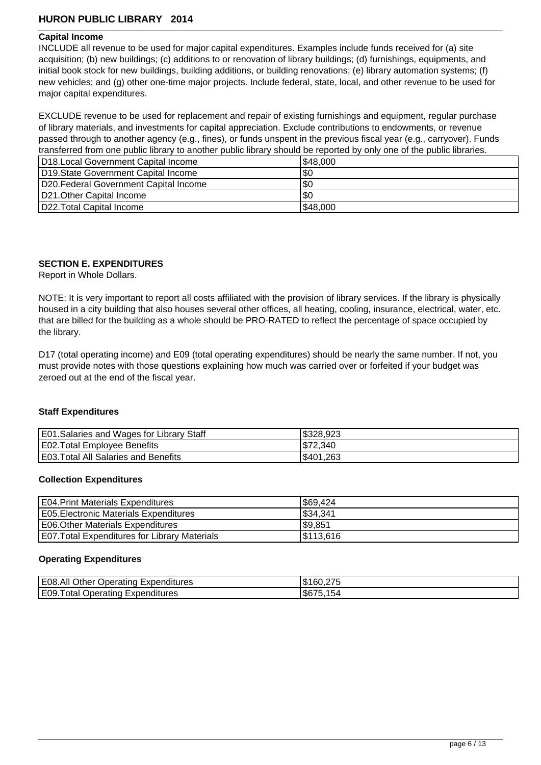#### **Capital Income**

INCLUDE all revenue to be used for major capital expenditures. Examples include funds received for (a) site acquisition; (b) new buildings; (c) additions to or renovation of library buildings; (d) furnishings, equipments, and initial book stock for new buildings, building additions, or building renovations; (e) library automation systems; (f) new vehicles; and (g) other one-time major projects. Include federal, state, local, and other revenue to be used for major capital expenditures.

EXCLUDE revenue to be used for replacement and repair of existing furnishings and equipment, regular purchase of library materials, and investments for capital appreciation. Exclude contributions to endowments, or revenue passed through to another agency (e.g., fines), or funds unspent in the previous fiscal year (e.g., carryover). Funds transferred from one public library to another public library should be reported by only one of the public libraries.

| D18. Local Government Capital Income   | \$48,000 |
|----------------------------------------|----------|
| D19. State Government Capital Income   | \$0      |
| D20. Federal Government Capital Income | \$0      |
| D21. Other Capital Income              | \$0      |
| D22. Total Capital Income              | \$48,000 |

### **SECTION E. EXPENDITURES**

Report in Whole Dollars.

NOTE: It is very important to report all costs affiliated with the provision of library services. If the library is physically housed in a city building that also houses several other offices, all heating, cooling, insurance, electrical, water, etc. that are billed for the building as a whole should be PRO-RATED to reflect the percentage of space occupied by the library.

D17 (total operating income) and E09 (total operating expenditures) should be nearly the same number. If not, you must provide notes with those questions explaining how much was carried over or forfeited if your budget was zeroed out at the end of the fiscal year.

#### **Staff Expenditures**

| E01. Salaries and Wages for Library Staff   | \$328.923 |
|---------------------------------------------|-----------|
| E02. Total Employee Benefits                | \$72,340  |
| <b>E03. Total All Salaries and Benefits</b> | \$401,263 |

#### **Collection Expenditures**

| <b>E04.Print Materials Expenditures</b>              | 569,424   |
|------------------------------------------------------|-----------|
| <b>E05. Electronic Materials Expenditures</b>        | \$34,341  |
| E06. Other Materials Expenditures                    | \$9,851   |
| <b>E07. Total Expenditures for Library Materials</b> | \$113,616 |

#### **Operating Expenditures**

| E08.All<br>Other<br>.<br>Expenditures<br>Operating | クフト<br>灬<br>160.275<br>ıъ |
|----------------------------------------------------|---------------------------|
| 'E09.<br>Expenditures<br>Operating<br>otal<br>     | IS675.154                 |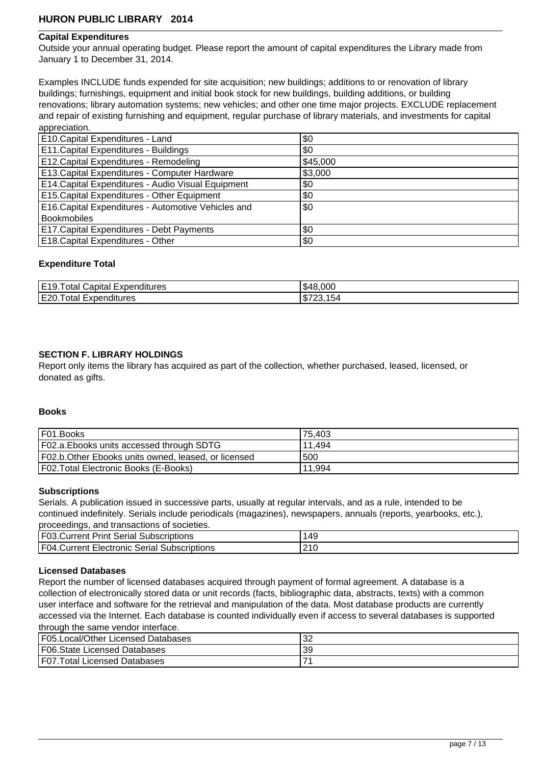#### **Capital Expenditures**

Outside your annual operating budget. Please report the amount of capital expenditures the Library made from January 1 to December 31, 2014.

Examples INCLUDE funds expended for site acquisition; new buildings; additions to or renovation of library buildings; furnishings, equipment and initial book stock for new buildings, building additions, or building renovations; library automation systems; new vehicles; and other one time major projects. EXCLUDE replacement and repair of existing furnishing and equipment, regular purchase of library materials, and investments for capital appreciation.

| E10. Capital Expenditures - Land                    | \$0     |
|-----------------------------------------------------|---------|
| E11. Capital Expenditures - Buildings               | \$0     |
| E12. Capital Expenditures - Remodeling              | 545,000 |
| E13. Capital Expenditures - Computer Hardware       | \$3,000 |
| E14. Capital Expenditures - Audio Visual Equipment  | \$0     |
| E15. Capital Expenditures - Other Equipment         | \$0     |
| E16. Capital Expenditures - Automotive Vehicles and | \$0     |
| Bookmobiles                                         |         |
| E17. Capital Expenditures - Debt Payments           | \$0     |
| E18. Capital Expenditures - Other                   | \$0     |

#### **Expenditure Total**

| E19<br>.<br>' Expenditures<br>Capital<br>otal<br>╵┙ | .8.000<br>'⊀4س |
|-----------------------------------------------------|----------------|
| E20.<br>Expenditures<br>∣otal                       | ѡ<br>. U.      |

#### **SECTION F. LIBRARY HOLDINGS**

Report only items the library has acquired as part of the collection, whether purchased, leased, licensed, or donated as gifts.

### **Books**

| IF01.Books                                           | 175,403 |
|------------------------------------------------------|---------|
| F02.a. Ebooks units accessed through SDTG            | 11.494  |
| F02.b. Other Ebooks units owned, leased, or licensed | 500     |
| F02. Total Electronic Books (E-Books)                | 11.994  |

#### **Subscriptions**

Serials. A publication issued in successive parts, usually at regular intervals, and as a rule, intended to be continued indefinitely. Serials include periodicals (magazines), newspapers, annuals (reports, yearbooks, etc.), proceedings, and transactions of societies.

| proceedings, and transactions or societies.         |           |  |
|-----------------------------------------------------|-----------|--|
| <b>F03. Current Print Serial Subscriptions</b>      | 149       |  |
| <b>F04. Current Electronic Serial Subscriptions</b> | $\sim$ 10 |  |

#### **Licensed Databases**

Report the number of licensed databases acquired through payment of formal agreement. A database is a collection of electronically stored data or unit records (facts, bibliographic data, abstracts, texts) with a common user interface and software for the retrieval and manipulation of the data. Most database products are currently accessed via the Internet. Each database is counted individually even if access to several databases is supported through the same vendor interface.

| F05.Local/Other Licensed Databases           | $\sim$<br>ےت |
|----------------------------------------------|--------------|
| <b>F06. State Licensed Databases</b>         | 39           |
| IF <sub>07</sub><br>Total Licensed Databases |              |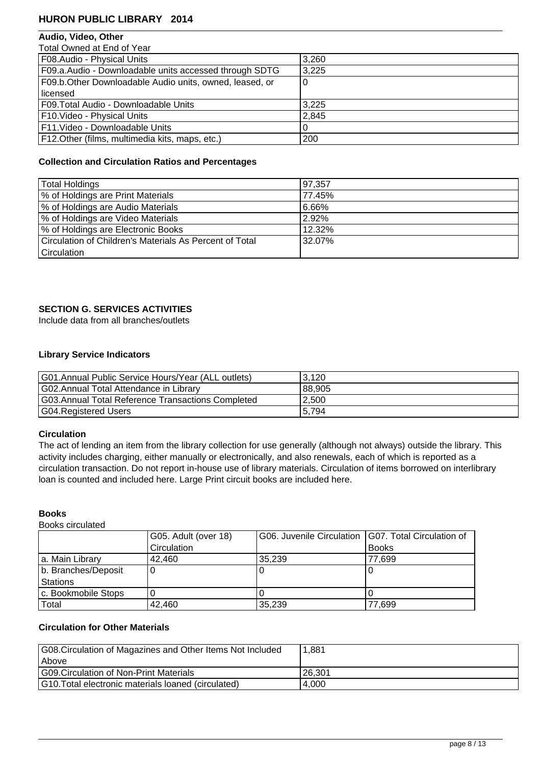## **Audio, Video, Other**

| F08.Audio - Physical Units                              | 3,260 |
|---------------------------------------------------------|-------|
| F09.a.Audio - Downloadable units accessed through SDTG  | 3,225 |
| F09.b.Other Downloadable Audio units, owned, leased, or |       |
| l licensed                                              |       |
| F09. Total Audio - Downloadable Units                   | 3,225 |
| F10. Video - Physical Units                             | 2,845 |
| F11. Video - Downloadable Units                         |       |
| F12. Other (films, multimedia kits, maps, etc.)         | 200   |

## **Collection and Circulation Ratios and Percentages**

| Total Holdings                                          | 197.357 |
|---------------------------------------------------------|---------|
| % of Holdings are Print Materials                       | 77.45%  |
| % of Holdings are Audio Materials                       | 6.66%   |
| % of Holdings are Video Materials                       | 2.92%   |
| % of Holdings are Electronic Books                      | 12.32%  |
| Circulation of Children's Materials As Percent of Total | 32.07%  |
| <b>Circulation</b>                                      |         |

## **SECTION G. SERVICES ACTIVITIES**

Include data from all branches/outlets

## **Library Service Indicators**

| G01.Annual Public Service Hours/Year (ALL outlets) | 3.120  |
|----------------------------------------------------|--------|
| G02.Annual Total Attendance in Library             | 88,905 |
| G03.Annual Total Reference Transactions Completed  | 2.500  |
| G04.Registered Users                               | 5,794  |

#### **Circulation**

The act of lending an item from the library collection for use generally (although not always) outside the library. This activity includes charging, either manually or electronically, and also renewals, each of which is reported as a circulation transaction. Do not report in-house use of library materials. Circulation of items borrowed on interlibrary loan is counted and included here. Large Print circuit books are included here.

#### **Books**

Books circulated

|                     | G05. Adult (over 18) | G06. Juvenile Circulation   G07. Total Circulation of |              |
|---------------------|----------------------|-------------------------------------------------------|--------------|
|                     | Circulation          |                                                       | <b>Books</b> |
| a. Main Library     | 42.460               | 35,239                                                | 77.699       |
| b. Branches/Deposit |                      | U                                                     |              |
| <b>Stations</b>     |                      |                                                       |              |
| c. Bookmobile Stops |                      |                                                       |              |
| Total               | 42,460               | 35,239                                                | 77.699       |

## **Circulation for Other Materials**

| G08. Circulation of Magazines and Other Items Not Included | 1.881  |
|------------------------------------------------------------|--------|
| l Above                                                    |        |
| G09. Circulation of Non-Print Materials                    | 26.301 |
| G10. Total electronic materials loaned (circulated)        | 4.000  |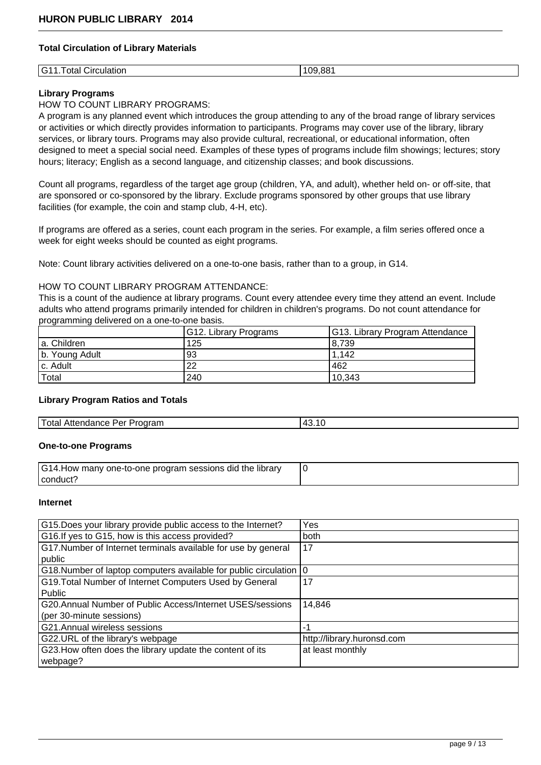### **Total Circulation of Library Materials**

| ---<br>1 G -<br>otal<br>≅ulation.<br>.<br>$\tilde{\phantom{a}}$ | 00<br>∣∩⊂<br>$\sim$ |
|-----------------------------------------------------------------|---------------------|

## **Library Programs**

## HOW TO COUNT LIBRARY PROGRAMS:

A program is any planned event which introduces the group attending to any of the broad range of library services or activities or which directly provides information to participants. Programs may cover use of the library, library services, or library tours. Programs may also provide cultural, recreational, or educational information, often designed to meet a special social need. Examples of these types of programs include film showings; lectures; story hours; literacy; English as a second language, and citizenship classes; and book discussions.

Count all programs, regardless of the target age group (children, YA, and adult), whether held on- or off-site, that are sponsored or co-sponsored by the library. Exclude programs sponsored by other groups that use library facilities (for example, the coin and stamp club, 4-H, etc).

If programs are offered as a series, count each program in the series. For example, a film series offered once a week for eight weeks should be counted as eight programs.

Note: Count library activities delivered on a one-to-one basis, rather than to a group, in G14.

## HOW TO COUNT LIBRARY PROGRAM ATTENDANCE:

This is a count of the audience at library programs. Count every attendee every time they attend an event. Include adults who attend programs primarily intended for children in children's programs. Do not count attendance for programming delivered on a one-to-one basis.

|                | G12. Library Programs | G13. Library Program Attendance |
|----------------|-----------------------|---------------------------------|
| a. Children    | 125                   | 8,739                           |
| b. Young Adult | 93                    | 1.142                           |
| c. Adult       | 22                    | 462                             |
| Total          | 240                   | 10,343                          |

#### **Library Program Ratios and Totals**

| Total Attendance Per Program | $\sim$<br>$\overline{1}$<br>−∪. ⊥∪ |
|------------------------------|------------------------------------|

#### **One-to-one Programs**

| G14.How many one-to-one program sessions did the library |  |
|----------------------------------------------------------|--|
| l conduct .                                              |  |

#### **Internet**

| G15.Does your library provide public access to the Internet?         | Yes                        |
|----------------------------------------------------------------------|----------------------------|
| G16. If yes to G15, how is this access provided?                     | both                       |
| G17. Number of Internet terminals available for use by general       | 17                         |
| public                                                               |                            |
| G18. Number of laptop computers available for public circulation   0 |                            |
| G19. Total Number of Internet Computers Used by General              | 17                         |
| Public                                                               |                            |
| G20.Annual Number of Public Access/Internet USES/sessions            | 14,846                     |
| (per 30-minute sessions)                                             |                            |
| G21.Annual wireless sessions                                         | -1                         |
| G22.URL of the library's webpage                                     | http://library.huronsd.com |
| G23. How often does the library update the content of its            | at least monthly           |
| webpage?                                                             |                            |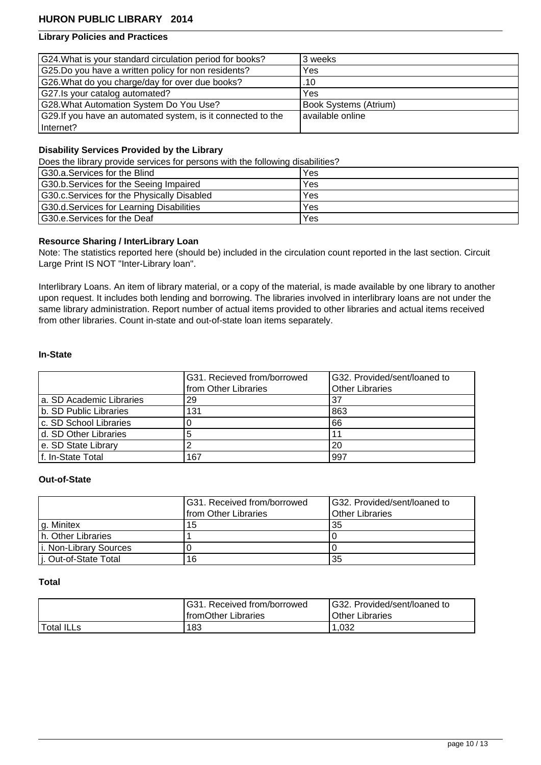## **Library Policies and Practices**

| G24. What is your standard circulation period for books?     | 3 weeks               |
|--------------------------------------------------------------|-----------------------|
| G25.Do you have a written policy for non residents?          | Yes                   |
| G26. What do you charge/day for over due books?              | .10                   |
| G27.Is your catalog automated?                               | Yes                   |
| G28. What Automation System Do You Use?                      | Book Systems (Atrium) |
| G29. If you have an automated system, is it connected to the | I available online    |
| Internet?                                                    |                       |

## **Disability Services Provided by the Library**

Does the library provide services for persons with the following disabilities?

| G30.a.Services for the Blind                | Yes |
|---------------------------------------------|-----|
| G30.b. Services for the Seeing Impaired     | Yes |
| G30.c. Services for the Physically Disabled | Yes |
| G30.d. Services for Learning Disabilities   | Yes |
| <b>G30.e.Services for the Deaf</b>          | Yes |

#### **Resource Sharing / InterLibrary Loan**

Note: The statistics reported here (should be) included in the circulation count reported in the last section. Circuit Large Print IS NOT "Inter-Library loan".

Interlibrary Loans. An item of library material, or a copy of the material, is made available by one library to another upon request. It includes both lending and borrowing. The libraries involved in interlibrary loans are not under the same library administration. Report number of actual items provided to other libraries and actual items received from other libraries. Count in-state and out-of-state loan items separately.

#### **In-State**

|                           | G31. Recieved from/borrowed | IG32. Provided/sent/loaned to |
|---------------------------|-----------------------------|-------------------------------|
|                           | from Other Libraries        | <b>Other Libraries</b>        |
| la. SD Academic Libraries | 29                          | 37                            |
| b. SD Public Libraries    | 131                         | 863                           |
| c. SD School Libraries    |                             | 66                            |
| d. SD Other Libraries     |                             |                               |
| e. SD State Library       |                             | 20                            |
| f. In-State Total         | 167                         | 997                           |

#### **Out-of-State**

|                        | G31. Received from/borrowed | G32. Provided/sent/loaned to |
|------------------------|-----------------------------|------------------------------|
|                        | from Other Libraries        | l Other Libraries            |
| g. Minitex             | 15                          | ' 35                         |
| h. Other Libraries     |                             |                              |
| i. Non-Library Sources |                             |                              |
| j. Out-of-State Total  | 16                          | ' 35                         |

#### **Total**

|            | G31. Received from/borrowed | G32. Provided/sent/loaned to |
|------------|-----------------------------|------------------------------|
|            | <b>IfromOther Libraries</b> | <b>IOther Libraries</b>      |
| Total ILLs | 183                         | .032                         |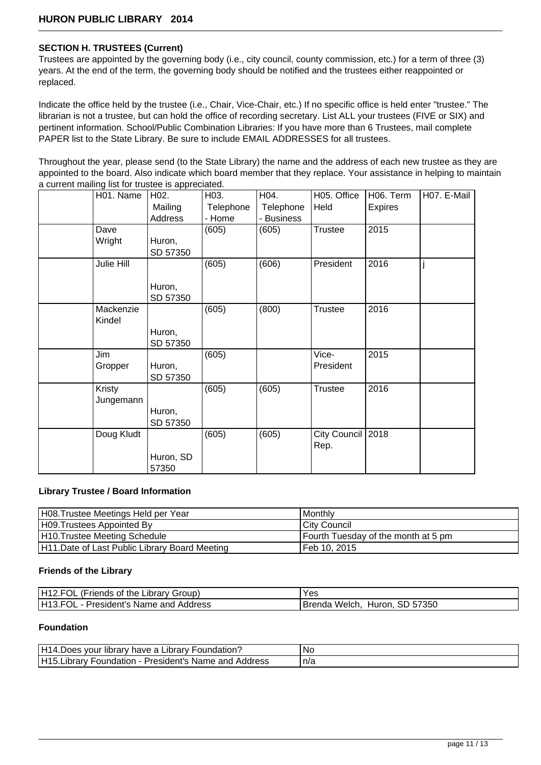## **SECTION H. TRUSTEES (Current)**

Trustees are appointed by the governing body (i.e., city council, county commission, etc.) for a term of three (3) years. At the end of the term, the governing body should be notified and the trustees either reappointed or replaced.

Indicate the office held by the trustee (i.e., Chair, Vice-Chair, etc.) If no specific office is held enter "trustee." The librarian is not a trustee, but can hold the office of recording secretary. List ALL your trustees (FIVE or SIX) and pertinent information. School/Public Combination Libraries: If you have more than 6 Trustees, mail complete PAPER list to the State Library. Be sure to include EMAIL ADDRESSES for all trustees.

Throughout the year, please send (to the State Library) the name and the address of each new trustee as they are appointed to the board. Also indicate which board member that they replace. Your assistance in helping to maintain a current mailing list for trustee is appreciated.

| H01. Name  | H <sub>02</sub> . | H03.      | H04.       | H05. Office       | H06. Term      | H07. E-Mail |
|------------|-------------------|-----------|------------|-------------------|----------------|-------------|
|            | Mailing           | Telephone | Telephone  | Held              | <b>Expires</b> |             |
|            | Address           | - Home    | - Business |                   |                |             |
| Dave       |                   | (605)     | (605)      | <b>Trustee</b>    | 2015           |             |
| Wright     | Huron,            |           |            |                   |                |             |
|            | SD 57350          |           |            |                   |                |             |
| Julie Hill |                   | (605)     | (606)      | President         | 2016           |             |
|            |                   |           |            |                   |                |             |
|            | Huron,            |           |            |                   |                |             |
|            | SD 57350          |           |            |                   |                |             |
| Mackenzie  |                   | (605)     | (800)      | <b>Trustee</b>    | 2016           |             |
| Kindel     |                   |           |            |                   |                |             |
|            | Huron,            |           |            |                   |                |             |
|            | SD 57350          |           |            |                   |                |             |
| Jim        |                   | (605)     |            | Vice-             | 2015           |             |
| Gropper    | Huron,            |           |            | President         |                |             |
|            | SD 57350          |           |            |                   |                |             |
| Kristy     |                   | (605)     | (605)      | <b>Trustee</b>    | 2016           |             |
| Jungemann  |                   |           |            |                   |                |             |
|            | Huron,            |           |            |                   |                |             |
|            | SD 57350          |           |            |                   |                |             |
| Doug Kludt |                   | (605)     | (605)      | City Council 2018 |                |             |
|            |                   |           |            | Rep.              |                |             |
|            | Huron, SD         |           |            |                   |                |             |
|            | 57350             |           |            |                   |                |             |

#### **Library Trustee / Board Information**

| H08. Trustee Meetings Held per Year            | l Monthlv                           |
|------------------------------------------------|-------------------------------------|
| H09. Trustees Appointed By                     | l Citv Council                      |
| H10. Trustee Meeting Schedule                  | Fourth Tuesday of the month at 5 pm |
| H11. Date of Last Public Library Board Meeting | l Feb 10. 2015                      |

#### **Friends of the Library**

| H12.FOL (Friends of the Library Group) | Yes                              |
|----------------------------------------|----------------------------------|
| H13.FOL - President's Name and Address | Huron, SD 57350<br>Brenda Welch. |

#### **Foundation**

| H14.Does your library have a Library Foundation?          | .No |
|-----------------------------------------------------------|-----|
| H15. Library Foundation - President's Name and<br>Address | n/a |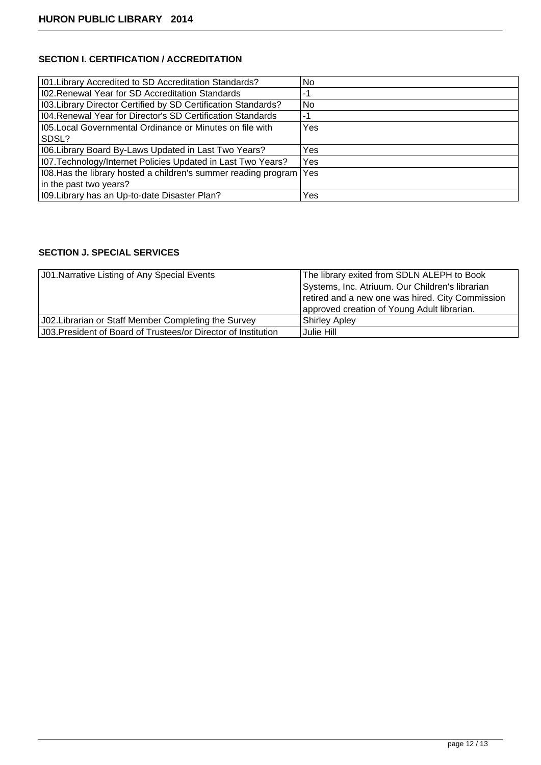# **SECTION I. CERTIFICATION / ACCREDITATION**

| 101. Library Accredited to SD Accreditation Standards?                | No. |
|-----------------------------------------------------------------------|-----|
| 102. Renewal Year for SD Accreditation Standards                      | -1  |
| 103. Library Director Certified by SD Certification Standards?        | No. |
| 104. Renewal Year for Director's SD Certification Standards           | -1  |
| 1105. Local Governmental Ordinance or Minutes on file with            | Yes |
| SDSL?                                                                 |     |
| 106. Library Board By-Laws Updated in Last Two Years?                 | Yes |
| 107. Technology/Internet Policies Updated in Last Two Years?          | Yes |
| 108. Has the library hosted a children's summer reading program   Yes |     |
| in the past two years?                                                |     |
| 109. Library has an Up-to-date Disaster Plan?                         | Yes |

# **SECTION J. SPECIAL SERVICES**

| <b>J01. Narrative Listing of Any Special Events</b>            | The library exited from SDLN ALEPH to Book       |
|----------------------------------------------------------------|--------------------------------------------------|
|                                                                | Systems, Inc. Atriuum. Our Children's librarian  |
|                                                                | retired and a new one was hired. City Commission |
|                                                                | approved creation of Young Adult librarian.      |
| J02. Librarian or Staff Member Completing the Survey           | <b>Shirley Apley</b>                             |
| J03. President of Board of Trustees/or Director of Institution | Julie Hill                                       |